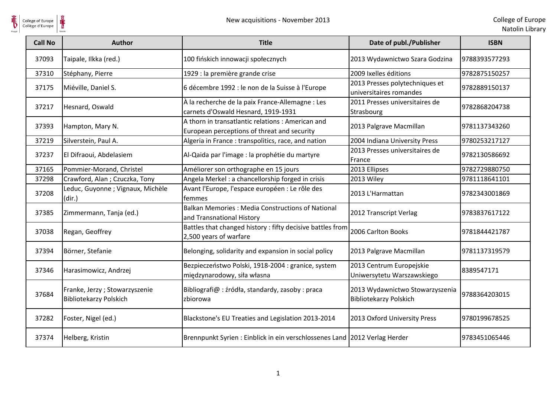

| <b>Call No</b> | <b>Author</b>                                                  | <b>Title</b>                                                                                    | Date of publ./Publisher                                          | <b>ISBN</b>   |
|----------------|----------------------------------------------------------------|-------------------------------------------------------------------------------------------------|------------------------------------------------------------------|---------------|
| 37093          | Taipale, Ilkka (red.)                                          | 100 fińskich innowacji społecznych                                                              | 2013 Wydawnictwo Szara Godzina                                   | 9788393577293 |
| 37310          | Stéphany, Pierre                                               | 1929 : la première grande crise                                                                 | 2009 Ixelles éditions                                            | 9782875150257 |
| 37175          | Miéville, Daniel S.                                            | 6 décembre 1992 : le non de la Suisse à l'Europe                                                | 2013 Presses polytechniques et<br>universitaires romandes        | 9782889150137 |
| 37217          | Hesnard, Oswald                                                | À la recherche de la paix France-Allemagne : Les<br>carnets d'Oswald Hesnard, 1919-1931         | 2011 Presses universitaires de<br>Strasbourg                     | 9782868204738 |
| 37393          | Hampton, Mary N.                                               | A thorn in transatlantic relations: American and<br>European perceptions of threat and security | 2013 Palgrave Macmillan                                          | 9781137343260 |
| 37219          | Silverstein, Paul A.                                           | Algeria in France: transpolitics, race, and nation                                              | 2004 Indiana University Press                                    | 9780253217127 |
| 37237          | El Difraoui, Abdelasiem                                        | Al-Qaida par l'image : la prophétie du martyre                                                  | 2013 Presses universitaires de<br>France                         | 9782130586692 |
| 37165          | Pommier-Morand, Christel                                       | Améliorer son orthographe en 15 jours                                                           | 2013 Ellipses                                                    | 9782729880750 |
| 37298          | Crawford, Alan; Czuczka, Tony                                  | Angela Merkel: a chancellorship forged in crisis                                                | 2013 Wiley                                                       | 9781118641101 |
| 37208          | Leduc, Guyonne ; Vignaux, Michèle<br>(dir.)                    | Avant l'Europe, l'espace européen : Le rôle des<br>femmes                                       | 2013 L'Harmattan                                                 | 9782343001869 |
| 37385          | Zimmermann, Tanja (ed.)                                        | Balkan Memories: Media Constructions of National<br>and Transnational History                   | 2012 Transcript Verlag                                           | 9783837617122 |
| 37038          | Regan, Geoffrey                                                | Battles that changed history : fifty decisive battles from<br>2,500 years of warfare            | 2006 Carlton Books                                               | 9781844421787 |
| 37394          | Börner, Stefanie                                               | Belonging, solidarity and expansion in social policy                                            | 2013 Palgrave Macmillan                                          | 9781137319579 |
| 37346          | Harasimowicz, Andrzej                                          | Bezpieczeństwo Polski, 1918-2004 : granice, system<br>międzynarodowy, siła własna               | 2013 Centrum Europejskie<br>Uniwersytetu Warszawskiego           | 8389547171    |
| 37684          | Franke, Jerzy; Stowarzyszenie<br><b>Bibliotekarzy Polskich</b> | Bibliografi@ : źródła, standardy, zasoby : praca<br>zbiorowa                                    | 2013 Wydawnictwo Stowarzyszenia<br><b>Bibliotekarzy Polskich</b> | 9788364203015 |
| 37282          | Foster, Nigel (ed.)                                            | Blackstone's EU Treaties and Legislation 2013-2014                                              | 2013 Oxford University Press                                     | 9780199678525 |
| 37374          | Helberg, Kristin                                               | Brennpunkt Syrien: Einblick in ein verschlossenes Land   2012 Verlag Herder                     |                                                                  | 9783451065446 |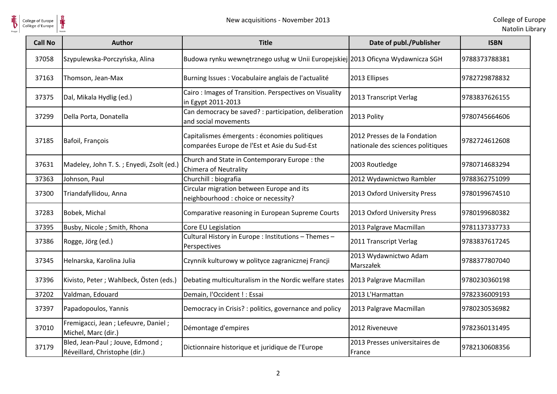

| <b>Call No</b> | <b>Author</b>                                                      | <b>Title</b>                                                                                  | Date of publ./Publisher                                           | <b>ISBN</b>   |
|----------------|--------------------------------------------------------------------|-----------------------------------------------------------------------------------------------|-------------------------------------------------------------------|---------------|
| 37058          | Szypulewska-Porczyńska, Alina                                      | Budowa rynku wewnętrznego usług w Unii Europejskiej 2013 Oficyna Wydawnicza SGH               |                                                                   | 9788373788381 |
| 37163          | Thomson, Jean-Max                                                  | Burning Issues : Vocabulaire anglais de l'actualité                                           | 2013 Ellipses                                                     | 9782729878832 |
| 37375          | Dal, Mikala Hydlig (ed.)                                           | Cairo: Images of Transition. Perspectives on Visuality<br>in Egypt 2011-2013                  | 2013 Transcript Verlag                                            | 9783837626155 |
| 37299          | Della Porta, Donatella                                             | Can democracy be saved? : participation, deliberation<br>and social movements                 | 2013 Polity                                                       | 9780745664606 |
| 37185          | Bafoil, François                                                   | Capitalismes émergents : économies politiques<br>comparées Europe de l'Est et Asie du Sud-Est | 2012 Presses de la Fondation<br>nationale des sciences politiques | 9782724612608 |
| 37631          | Madeley, John T. S.; Enyedi, Zsolt (ed.)                           | Church and State in Contemporary Europe : the<br>Chimera of Neutrality                        | 2003 Routledge                                                    | 9780714683294 |
| 37363          | Johnson, Paul                                                      | Churchill: biografia                                                                          | 2012 Wydawnictwo Rambler                                          | 9788362751099 |
| 37300          | Triandafyllidou, Anna                                              | Circular migration between Europe and its<br>neighbourhood : choice or necessity?             | 2013 Oxford University Press                                      | 9780199674510 |
| 37283          | Bobek, Michal                                                      | Comparative reasoning in European Supreme Courts                                              | 2013 Oxford University Press                                      | 9780199680382 |
| 37395          | Busby, Nicole ; Smith, Rhona                                       | Core EU Legislation                                                                           | 2013 Palgrave Macmillan                                           | 9781137337733 |
| 37386          | Rogge, Jörg (ed.)                                                  | Cultural History in Europe : Institutions - Themes -<br>Perspectives                          | 2011 Transcript Verlag                                            | 9783837617245 |
| 37345          | Helnarska, Karolina Julia                                          | Czynnik kulturowy w polityce zagranicznej Francji                                             | 2013 Wydawnictwo Adam<br>Marszałek                                | 9788377807040 |
| 37396          | Kivisto, Peter ; Wahlbeck, Östen (eds.)                            | Debating multiculturalism in the Nordic welfare states                                        | 2013 Palgrave Macmillan                                           | 9780230360198 |
| 37202          | Valdman, Edouard                                                   | Demain, l'Occident ! : Essai                                                                  | 2013 L'Harmattan                                                  | 9782336009193 |
| 37397          | Papadopoulos, Yannis                                               | Democracy in Crisis? : politics, governance and policy                                        | 2013 Palgrave Macmillan                                           | 9780230536982 |
| 37010          | Fremigacci, Jean ; Lefeuvre, Daniel ;<br>Michel, Marc (dir.)       | Démontage d'empires                                                                           | 2012 Riveneuve                                                    | 9782360131495 |
| 37179          | Bled, Jean-Paul ; Jouve, Edmond ;<br>Réveillard, Christophe (dir.) | Dictionnaire historique et juridique de l'Europe                                              | 2013 Presses universitaires de<br>France                          | 9782130608356 |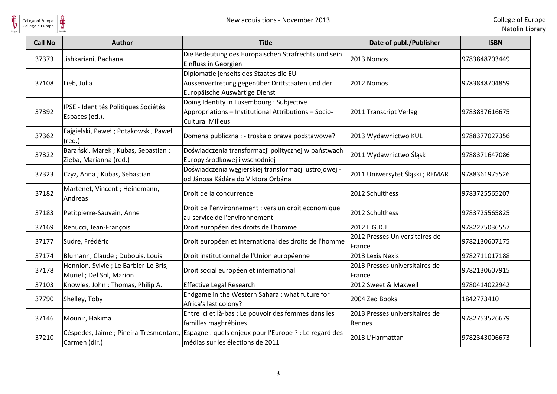

| <b>Call No</b> | <b>Author</b>                                                     | <b>Title</b>                                                                                                                 | Date of publ./Publisher                  | <b>ISBN</b>   |
|----------------|-------------------------------------------------------------------|------------------------------------------------------------------------------------------------------------------------------|------------------------------------------|---------------|
| 37373          | Jishkariani, Bachana                                              | Die Bedeutung des Europäischen Strafrechts und sein<br>Einfluss in Georgien                                                  | 2013 Nomos                               | 9783848703449 |
| 37108          | Lieb, Julia                                                       | Diplomatie jenseits des Staates die EU-<br>Aussenvertretung gegenüber Drittstaaten und der<br>Europäische Auswärtige Dienst  | 2012 Nomos                               | 9783848704859 |
| 37392          | IPSE - Identités Politiques Sociétés<br>Espaces (ed.).            | Doing Identity in Luxembourg : Subjective<br>Appropriations - Institutional Attributions - Socio-<br><b>Cultural Milieus</b> | 2011 Transcript Verlag                   | 9783837616675 |
| 37362          | Fajgielski, Paweł; Potakowski, Paweł<br>$(\text{red.})$           | Domena publiczna : - troska o prawa podstawowe?                                                                              | 2013 Wydawnictwo KUL                     | 9788377027356 |
| 37322          | Barański, Marek; Kubas, Sebastian;<br>Zięba, Marianna (red.)      | Doświadczenia transformacji politycznej w państwach<br>Europy środkowej i wschodniej                                         | 2011 Wydawnictwo Śląsk                   | 9788371647086 |
| 37323          | Czyż, Anna; Kubas, Sebastian                                      | Doświadczenia węgierskiej transformacji ustrojowej -<br>od Jánosa Kádára do Viktora Orbána                                   | 2011 Uniwersytet Śląski; REMAR           | 9788361975526 |
| 37182          | Martenet, Vincent ; Heinemann,<br>Andreas                         | Droit de la concurrence                                                                                                      | 2012 Schulthess                          | 9783725565207 |
| 37183          | Petitpierre-Sauvain, Anne                                         | Droit de l'environnement : vers un droit economique<br>au service de l'environnement                                         | 2012 Schulthess                          | 9783725565825 |
| 37169          | Renucci, Jean-François                                            | Droit européen des droits de l'homme                                                                                         | 2012 L.G.D.J                             | 9782275036557 |
| 37177          | Sudre, Frédéric                                                   | Droit européen et international des droits de l'homme                                                                        | 2012 Presses Universitaires de<br>France | 9782130607175 |
| 37174          | Blumann, Claude; Dubouis, Louis                                   | Droit institutionnel de l'Union européenne                                                                                   | 2013 Lexis Nexis                         | 9782711017188 |
| 37178          | Hennion, Sylvie ; Le Barbier-Le Bris,<br>Muriel ; Del Sol, Marion | Droit social européen et international                                                                                       | 2013 Presses universitaires de<br>France | 9782130607915 |
| 37103          | Knowles, John ; Thomas, Philip A.                                 | <b>Effective Legal Research</b>                                                                                              | 2012 Sweet & Maxwell                     | 9780414022942 |
| 37790          | Shelley, Toby                                                     | Endgame in the Western Sahara : what future for<br>Africa's last colony?                                                     | 2004 Zed Books                           | 1842773410    |
| 37146          | Mounir, Hakima                                                    | Entre ici et là-bas : Le pouvoir des femmes dans les<br>familles maghrébines                                                 | 2013 Presses universitaires de<br>Rennes | 9782753526679 |
| 37210          | Céspedes, Jaime ; Pineira-Tresmontant,<br>Carmen (dir.)           | Espagne : quels enjeux pour l'Europe ? : Le regard des<br>médias sur les élections de 2011                                   | 2013 L'Harmattan                         | 9782343006673 |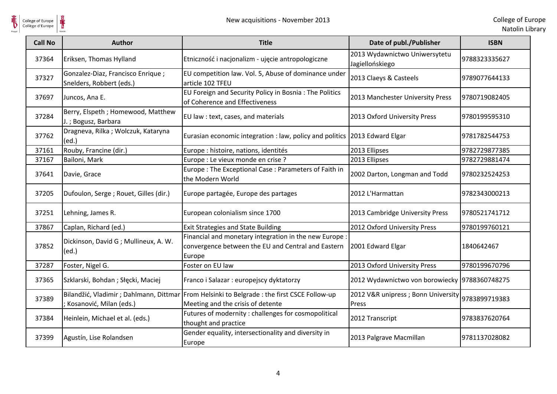

| <b>Call No</b> | <b>Author</b>                                                 | <b>Title</b>                                                                                                                    | Date of publ./Publisher                                    | <b>ISBN</b>   |
|----------------|---------------------------------------------------------------|---------------------------------------------------------------------------------------------------------------------------------|------------------------------------------------------------|---------------|
| 37364          | Eriksen, Thomas Hylland                                       | Etniczność i nacjonalizm - ujęcie antropologiczne                                                                               | 2013 Wydawnictwo Uniwersytetu<br>Jagiellońskiego           | 9788323335627 |
| 37327          | Gonzalez-Diaz, Francisco Enrique;<br>Snelders, Robbert (eds.) | EU competition law. Vol. 5, Abuse of dominance under<br>article 102 TFEU                                                        | 2013 Claeys & Casteels                                     | 9789077644133 |
| 37697          | Juncos, Ana E.                                                | EU Foreign and Security Policy in Bosnia: The Politics<br>of Coherence and Effectiveness                                        | 2013 Manchester University Press                           | 9780719082405 |
| 37284          | Berry, Elspeth ; Homewood, Matthew<br>J.; Bogusz, Barbara     | EU law : text, cases, and materials                                                                                             | 2013 Oxford University Press                               | 9780199595310 |
| 37762          | Dragneva, Rilka; Wolczuk, Kataryna<br>(ed.)                   | Eurasian economic integration : law, policy and politics 2013 Edward Elgar                                                      |                                                            | 9781782544753 |
| 37161          | Rouby, Francine (dir.)                                        | Europe : histoire, nations, identités                                                                                           | 2013 Ellipses                                              | 9782729877385 |
| 37167          | Bailoni, Mark                                                 | Europe : Le vieux monde en crise ?                                                                                              | 2013 Ellipses                                              | 9782729881474 |
| 37641          | Davie, Grace                                                  | Europe: The Exceptional Case: Parameters of Faith in<br>the Modern World                                                        | 2002 Darton, Longman and Todd                              | 9780232524253 |
| 37205          | Dufoulon, Serge ; Rouet, Gilles (dir.)                        | Europe partagée, Europe des partages                                                                                            | 2012 L'Harmattan                                           | 9782343000213 |
| 37251          | Lehning, James R.                                             | European colonialism since 1700                                                                                                 | 2013 Cambridge University Press                            | 9780521741712 |
| 37867          | Caplan, Richard (ed.)                                         | <b>Exit Strategies and State Building</b>                                                                                       | 2012 Oxford University Press                               | 9780199760121 |
| 37852          | Dickinson, David G; Mullineux, A. W.<br>(ed.)                 | Financial and monetary integration in the new Europe :<br>convergence between the EU and Central and Eastern<br>Europe          | 2001 Edward Elgar                                          | 1840642467    |
| 37287          | Foster, Nigel G.                                              | Foster on EU law                                                                                                                | 2013 Oxford University Press                               | 9780199670796 |
| 37365          | Szklarski, Bohdan; Słęcki, Maciej                             | Franco i Salazar : europejscy dyktatorzy                                                                                        | 2012 Wydawnictwo von borowiecky 9788360748275              |               |
| 37389          | Kosanović, Milan (eds.)                                       | Bilandžić, Vladimir; Dahlmann, Dittmar From Helsinki to Belgrade: the first CSCE Follow-up<br>Meeting and the crisis of detente | 2012 V&R unipress ; Bonn University 9783899719383<br>Press |               |
| 37384          | Heinlein, Michael et al. (eds.)                               | Futures of modernity : challenges for cosmopolitical<br>thought and practice                                                    | 2012 Transcript                                            | 9783837620764 |
| 37399          | Agustín, Lise Rolandsen                                       | Gender equality, intersectionality and diversity in<br>Europe                                                                   | 2013 Palgrave Macmillan                                    | 9781137028082 |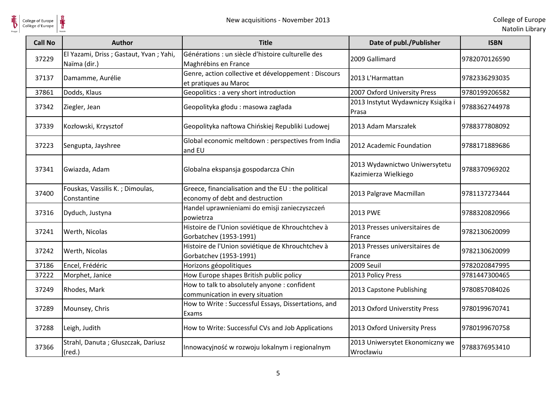

| <b>Call No</b> | <b>Author</b>                                            | <b>Title</b>                                                                           | Date of publ./Publisher                               | <b>ISBN</b>   |
|----------------|----------------------------------------------------------|----------------------------------------------------------------------------------------|-------------------------------------------------------|---------------|
| 37229          | El Yazami, Driss ; Gastaut, Yvan ; Yahi,<br>Naïma (dir.) | Générations : un siècle d'histoire culturelle des<br>Maghrébins en France              | 2009 Gallimard                                        | 9782070126590 |
| 37137          | Damamme, Aurélie                                         | Genre, action collective et développement : Discours<br>et pratiques au Maroc          | 2013 L'Harmattan                                      | 9782336293035 |
| 37861          | Dodds, Klaus                                             | Geopolitics : a very short introduction                                                | 2007 Oxford University Press                          | 9780199206582 |
| 37342          | Ziegler, Jean                                            | Geopolityka głodu: masowa zagłada                                                      | 2013 Instytut Wydawniczy Książka i<br>Prasa           | 9788362744978 |
| 37339          | Kozłowski, Krzysztof                                     | Geopolityka naftowa Chińskiej Republiki Ludowej                                        | 2013 Adam Marszałek                                   | 9788377808092 |
| 37223          | Sengupta, Jayshree                                       | Global economic meltdown : perspectives from India<br>and EU                           | 2012 Academic Foundation                              | 9788171889686 |
| 37341          | Gwiazda, Adam                                            | Globalna ekspansja gospodarcza Chin                                                    | 2013 Wydawnictwo Uniwersytetu<br>Kazimierza Wielkiego | 9788370969202 |
| 37400          | Fouskas, Vassilis K.; Dimoulas,<br>Constantine           | Greece, financialisation and the EU : the political<br>economy of debt and destruction | 2013 Palgrave Macmillan                               | 9781137273444 |
| 37316          | Dyduch, Justyna                                          | Handel uprawnieniami do emisji zanieczyszczeń<br>powietrza                             | 2013 PWE                                              | 9788320820966 |
| 37241          | Werth, Nicolas                                           | Histoire de l'Union soviétique de Khrouchtchev à<br>Gorbatchev (1953-1991)             | 2013 Presses universitaires de<br>France              | 9782130620099 |
| 37242          | Werth, Nicolas                                           | Histoire de l'Union soviétique de Khrouchtchev à<br>Gorbatchev (1953-1991)             | 2013 Presses universitaires de<br>France              | 9782130620099 |
| 37186          | Encel, Frédéric                                          | Horizons géopolitiques                                                                 | 2009 Seuil                                            | 9782020847995 |
| 37222          | Morphet, Janice                                          | How Europe shapes British public policy                                                | 2013 Policy Press                                     | 9781447300465 |
| 37249          | Rhodes, Mark                                             | How to talk to absolutely anyone : confident<br>communication in every situation       | 2013 Capstone Publishing                              | 9780857084026 |
| 37289          | Mounsey, Chris                                           | How to Write: Successful Essays, Dissertations, and<br>Exams                           | 2013 Oxford Universtity Press                         | 9780199670741 |
| 37288          | Leigh, Judith                                            | How to Write: Successful CVs and Job Applications                                      | 2013 Oxford University Press                          | 9780199670758 |
| 37366          | Strahl, Danuta ; Głuszczak, Dariusz<br>$(\text{red.})$   | Innowacyjność w rozwoju lokalnym i regionalnym                                         | 2013 Uniwersytet Ekonomiczny we<br>Wrocławiu          | 9788376953410 |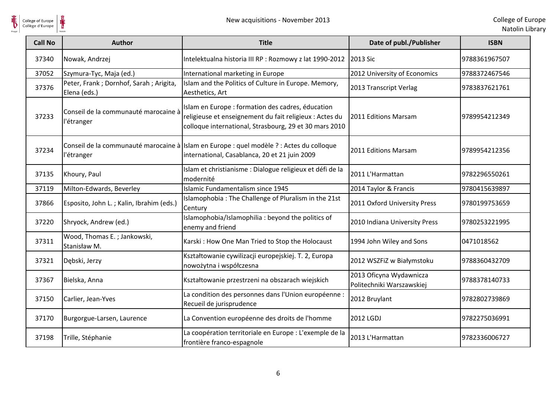

| College of Europe<br>Collège d'Europe | ⋕<br>New acquisitions - November 2013                    |                                                                                                                                                                        |                                                      | College of Eu<br>Natolin Lib |
|---------------------------------------|----------------------------------------------------------|------------------------------------------------------------------------------------------------------------------------------------------------------------------------|------------------------------------------------------|------------------------------|
| <b>Call No</b>                        | <b>Author</b>                                            | <b>Title</b>                                                                                                                                                           | Date of publ./Publisher                              | <b>ISBN</b>                  |
| 37340                                 | Nowak, Andrzej                                           | Intelektualna historia III RP : Rozmowy z lat 1990-2012                                                                                                                | 2013 Sic                                             | 9788361967507                |
| 37052                                 | Szymura-Tyc, Maja (ed.)                                  | International marketing in Europe                                                                                                                                      | 2012 University of Economics                         | 9788372467546                |
| 37376                                 | Peter, Frank ; Dornhof, Sarah ; Arigita,<br>Elena (eds.) | Islam and the Politics of Culture in Europe. Memory,<br>Aesthetics, Art                                                                                                | 2013 Transcript Verlag                               | 9783837621761                |
| 37233                                 | Conseil de la communauté marocaine à<br>l'étranger       | Islam en Europe : formation des cadres, éducation<br>religieuse et enseignement du fait religieux : Actes du<br>colloque international, Strasbourg, 29 et 30 mars 2010 | 2011 Editions Marsam                                 | 9789954212349                |
| 37234                                 | l'étranger                                               | Conseil de la communauté marocaine à Islam en Europe : quel modèle ? : Actes du colloque<br>international, Casablanca, 20 et 21 juin 2009                              | 2011 Editions Marsam                                 | 9789954212356                |
| 37135                                 | Khoury, Paul                                             | Islam et christianisme : Dialogue religieux et défi de la<br>modernité                                                                                                 | 2011 L'Harmattan                                     | 9782296550261                |
| 37119                                 | Milton-Edwards, Beverley                                 | <b>Islamic Fundamentalism since 1945</b>                                                                                                                               | 2014 Taylor & Francis                                | 9780415639897                |
| 37866                                 | Esposito, John L.; Kalin, Ibrahim (eds.)                 | Islamophobia : The Challenge of Pluralism in the 21st<br>Century                                                                                                       | 2011 Oxford University Press                         | 9780199753659                |
| 37220                                 | Shryock, Andrew (ed.)                                    | Islamophobia/Islamophilia : beyond the politics of<br>enemy and friend                                                                                                 | 2010 Indiana University Press                        | 9780253221995                |
| 37311                                 | Wood, Thomas E.; Jankowski,<br>Stanisław M.              | Karski: How One Man Tried to Stop the Holocaust                                                                                                                        | 1994 John Wiley and Sons                             | 0471018562                   |
| 37321                                 | Dębski, Jerzy                                            | Kształtowanie cywilizacji europejskiej. T. 2, Europa<br>nowożytna i współczesna                                                                                        | 2012 WSZFiZ w Białymstoku                            | 9788360432709                |
| 37367                                 | Bielska, Anna                                            | Kształtowanie przestrzeni na obszarach wiejskich                                                                                                                       | 2013 Oficyna Wydawnicza<br>Politechniki Warszawskiej | 9788378140733                |
| 37150                                 | Carlier, Jean-Yves                                       | La condition des personnes dans l'Union européenne :<br>Recueil de jurisprudence                                                                                       | 2012 Bruylant                                        | 9782802739869                |
| 37170                                 | Burgorgue-Larsen, Laurence                               | La Convention européenne des droits de l'homme                                                                                                                         | 2012 LGDJ                                            | 9782275036991                |
| 37198                                 | Trille, Stéphanie                                        | La coopération territoriale en Europe : L'exemple de la<br>frontière franco-espagnole                                                                                  | 2013 L'Harmattan                                     | 9782336006727                |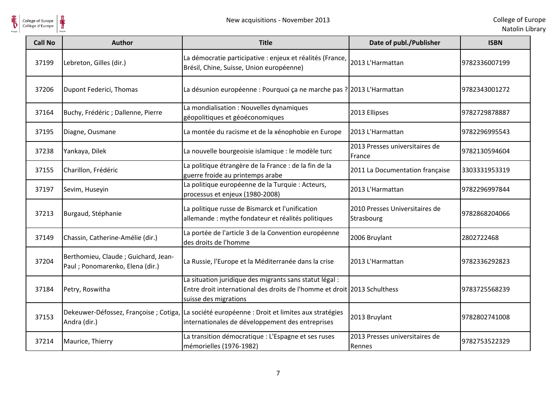



| <b>Call No</b> | <b>Author</b>                                                            | <b>Title</b>                                                                                                                                                 | Date of publ./Publisher                      | <b>ISBN</b>   |
|----------------|--------------------------------------------------------------------------|--------------------------------------------------------------------------------------------------------------------------------------------------------------|----------------------------------------------|---------------|
| 37199          | Lebreton, Gilles (dir.)                                                  | La démocratie participative : enjeux et réalités (France,<br>Brésil, Chine, Suisse, Union européenne)                                                        | 2013 L'Harmattan                             | 9782336007199 |
| 37206          | Dupont Federici, Thomas                                                  | La désunion européenne : Pourquoi ça ne marche pas ? 2013 L'Harmattan                                                                                        |                                              | 9782343001272 |
| 37164          | Buchy, Frédéric ; Dallenne, Pierre                                       | La mondialisation: Nouvelles dynamiques<br>géopolitiques et géoéconomiques                                                                                   | 2013 Ellipses                                | 9782729878887 |
| 37195          | Diagne, Ousmane                                                          | La montée du racisme et de la xénophobie en Europe                                                                                                           | 2013 L'Harmattan                             | 9782296995543 |
| 37238          | Yankaya, Dilek                                                           | La nouvelle bourgeoisie islamique : le modèle turc                                                                                                           | 2013 Presses universitaires de<br>France     | 9782130594604 |
| 37155          | Charillon, Frédéric                                                      | La politique étrangère de la France : de la fin de la<br>guerre froide au printemps arabe                                                                    | 2011 La Documentation française              | 3303331953319 |
| 37197          | Sevim, Huseyin                                                           | La politique européenne de la Turquie : Acteurs,<br>processus et enjeux (1980-2008)                                                                          | 2013 L'Harmattan                             | 9782296997844 |
| 37213          | Burgaud, Stéphanie                                                       | La politique russe de Bismarck et l'unification<br>allemande : mythe fondateur et réalités politiques                                                        | 2010 Presses Universitaires de<br>Strasbourg | 9782868204066 |
| 37149          | Chassin, Catherine-Amélie (dir.)                                         | La portée de l'article 3 de la Convention européenne<br>des droits de l'homme                                                                                | 2006 Bruylant                                | 2802722468    |
| 37204          | Berthomieu, Claude ; Guichard, Jean-<br>Paul ; Ponomarenko, Elena (dir.) | La Russie, l'Europe et la Méditerranée dans la crise                                                                                                         | 2013 L'Harmattan                             | 9782336292823 |
| 37184          | Petry, Roswitha                                                          | La situation juridique des migrants sans statut légal :<br>Entre droit international des droits de l'homme et droit 2013 Schulthess<br>suisse des migrations |                                              | 9783725568239 |
| 37153          | Andra (dir.)                                                             | Dekeuwer-Défossez, Françoise ; Cotiga, La société européenne : Droit et limites aux stratégies<br>internationales de développement des entreprises           | 2013 Bruylant                                | 9782802741008 |
| 37214          | Maurice, Thierry                                                         | La transition démocratique : L'Espagne et ses ruses<br>mémorielles (1976-1982)                                                                               | 2013 Presses universitaires de<br>Rennes     | 9782753522329 |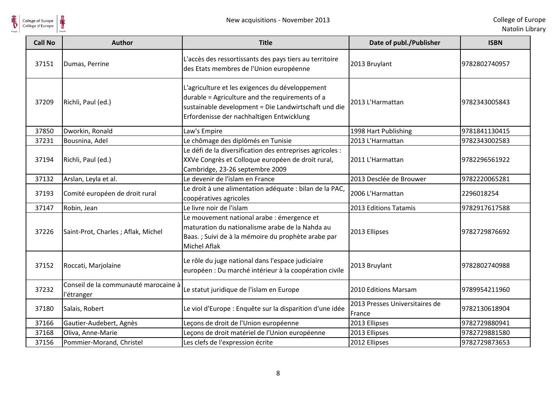

| <b>Call No</b> | <b>Author</b>                                      | <b>Title</b>                                                                                                                                                                                            | Date of publ./Publisher                  | <b>ISBN</b>   |
|----------------|----------------------------------------------------|---------------------------------------------------------------------------------------------------------------------------------------------------------------------------------------------------------|------------------------------------------|---------------|
| 37151          | Dumas, Perrine                                     | L'accès des ressortissants des pays tiers au territoire<br>des Etats membres de l'Union européenne                                                                                                      | 2013 Bruylant                            | 9782802740957 |
| 37209          | Richli, Paul (ed.)                                 | L'agriculture et les exigences du développement<br>durable = Agriculture and the requirements of a<br>sustainable development = Die Landwirtschaft und die<br>Erfordenisse der nachhaltigen Entwicklung | 2013 L'Harmattan                         | 9782343005843 |
| 37850          | Dworkin, Ronald                                    | Law's Empire                                                                                                                                                                                            | 1998 Hart Publishing                     | 9781841130415 |
| 37231          | Bousnina, Adel                                     | Le chômage des diplômés en Tunisie                                                                                                                                                                      | 2013 L'Harmattan                         | 9782343002583 |
| 37194          | Richli, Paul (ed.)                                 | Le défi de la diversification des entreprises agricoles :<br>XXVe Congrès et Colloque européen de droit rural,<br>Cambridge, 23-26 septembre 2009                                                       | 2011 L'Harmattan                         | 9782296561922 |
| 37132          | Arslan, Leyla et al.                               | Le devenir de l'islam en France                                                                                                                                                                         | 2013 Desclée de Brouwer                  | 9782220065281 |
| 37193          | Comité européen de droit rural                     | Le droit à une alimentation adéquate : bilan de la PAC,<br>coopératives agricoles                                                                                                                       | 2006 L'Harmattan                         | 2296018254    |
| 37147          | Robin, Jean                                        | Le livre noir de l'islam                                                                                                                                                                                | 2013 Editions Tatamis                    | 9782917617588 |
| 37226          | Saint-Prot, Charles; Aflak, Michel                 | Le mouvement national arabe : émergence et<br>maturation du nationalisme arabe de la Nahda au<br>Baas.; Suivi de à la mémoire du prophète arabe par<br><b>Michel Aflak</b>                              | 2013 Ellipses                            | 9782729876692 |
| 37152          | Roccati, Marjolaine                                | Le rôle du juge national dans l'espace judiciaire<br>européen : Du marché intérieur à la coopération civile                                                                                             | 2013 Bruylant                            | 9782802740988 |
| 37232          | Conseil de la communauté marocaine à<br>l'étranger | Le statut juridique de l'islam en Europe                                                                                                                                                                | 2010 Editions Marsam                     | 9789954211960 |
| 37180          | Salais, Robert                                     | Le viol d'Europe : Enquête sur la disparition d'une idée                                                                                                                                                | 2013 Presses Universitaires de<br>France | 9782130618904 |
| 37166          | Gautier-Audebert, Agnès                            | Leçons de droit de l'Union européenne                                                                                                                                                                   | 2013 Ellipses                            | 9782729880941 |
| 37168          | Oliva, Anne-Marie                                  | Leçons de droit matériel de l'Union européenne                                                                                                                                                          | 2013 Ellipses                            | 9782729881580 |
| 37156          | Pommier-Morand, Christel                           | Les clefs de l'expression écrite                                                                                                                                                                        | 2012 Ellipses                            | 9782729873653 |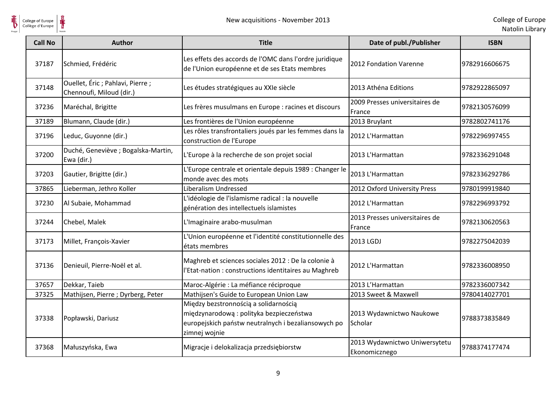

| <b>Call No</b> | <b>Author</b>                                                 | <b>Title</b>                                                                                                                                             | Date of publ./Publisher                        | <b>ISBN</b>   |
|----------------|---------------------------------------------------------------|----------------------------------------------------------------------------------------------------------------------------------------------------------|------------------------------------------------|---------------|
| 37187          | Schmied, Frédéric                                             | Les effets des accords de l'OMC dans l'ordre juridique<br>de l'Union européenne et de ses Etats membres                                                  | 2012 Fondation Varenne                         | 9782916606675 |
| 37148          | Ouellet, Éric ; Pahlavi, Pierre ;<br>Chennoufi, Miloud (dir.) | Les études stratégiques au XXIe siècle                                                                                                                   | 2013 Athéna Editions                           | 9782922865097 |
| 37236          | Maréchal, Brigitte                                            | Les frères musulmans en Europe : racines et discours                                                                                                     | 2009 Presses universitaires de<br>France       | 9782130576099 |
| 37189          | Blumann, Claude (dir.)                                        | Les frontières de l'Union européenne                                                                                                                     | 2013 Bruylant                                  | 9782802741176 |
| 37196          | Leduc, Guyonne (dir.)                                         | Les rôles transfrontaliers joués par les femmes dans la<br>construction de l'Europe                                                                      | 2012 L'Harmattan                               | 9782296997455 |
| 37200          | Duché, Geneviève ; Bogalska-Martin,<br>Ewa (dir.)             | L'Europe à la recherche de son projet social                                                                                                             | 2013 L'Harmattan                               | 9782336291048 |
| 37203          | Gautier, Brigitte (dir.)                                      | L'Europe centrale et orientale depuis 1989 : Changer le<br>monde avec des mots                                                                           | 2013 L'Harmattan                               | 9782336292786 |
| 37865          | Lieberman, Jethro Koller                                      | Liberalism Undressed                                                                                                                                     | 2012 Oxford University Press                   | 9780199919840 |
| 37230          | Al Subaie, Mohammad                                           | L'idéologie de l'islamisme radical : la nouvelle<br>génération des intellectuels islamistes                                                              | 2012 L'Harmattan                               | 9782296993792 |
| 37244          | Chebel, Malek                                                 | L'Imaginaire arabo-musulman                                                                                                                              | 2013 Presses universitaires de<br>France       | 9782130620563 |
| 37173          | Millet, François-Xavier                                       | L'Union européenne et l'identité constitutionnelle des<br>états membres                                                                                  | 2013 LGDJ                                      | 9782275042039 |
| 37136          | Denieuil, Pierre-Noël et al.                                  | Maghreb et sciences sociales 2012 : De la colonie à<br>l'Etat-nation : constructions identitaires au Maghreb                                             | 2012 L'Harmattan                               | 9782336008950 |
| 37657          | Dekkar, Taieb                                                 | Maroc-Algérie : La méfiance réciproque                                                                                                                   | 2013 L'Harmattan                               | 9782336007342 |
| 37325          | Mathijsen, Pierre ; Dyrberg, Peter                            | Mathijsen's Guide to European Union Law                                                                                                                  | 2013 Sweet & Maxwell                           | 9780414027701 |
| 37338          | Popławski, Dariusz                                            | Między bezstronnością a solidarnością<br>międzynarodową: polityka bezpieczeństwa<br>europejskich państw neutralnych i bezaliansowych po<br>zimnej wojnie | 2013 Wydawnictwo Naukowe<br>Scholar            | 9788373835849 |
| 37368          | Małuszyńska, Ewa                                              | Migracje i delokalizacja przedsiębiorstw                                                                                                                 | 2013 Wydawnictwo Uniwersytetu<br>Ekonomicznego | 9788374177474 |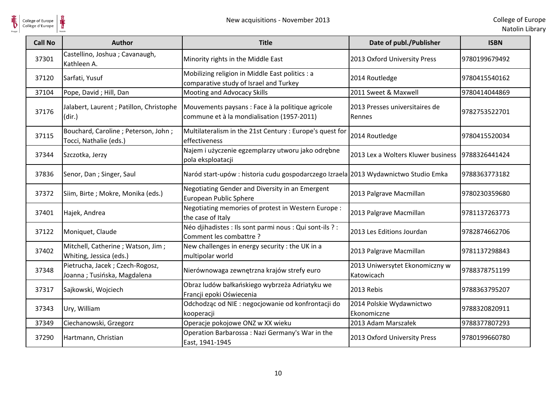

| <b>Call No</b> | <b>Author</b>                                                   | <b>Title</b>                                                                                    | Date of publ./Publisher                            | <b>ISBN</b>   |
|----------------|-----------------------------------------------------------------|-------------------------------------------------------------------------------------------------|----------------------------------------------------|---------------|
| 37301          | Castellino, Joshua; Cavanaugh,<br>Kathleen A.                   | Minority rights in the Middle East                                                              | 2013 Oxford University Press                       | 9780199679492 |
| 37120          | Sarfati, Yusuf                                                  | Mobilizing religion in Middle East politics : a<br>comparative study of Israel and Turkey       | 2014 Routledge                                     | 9780415540162 |
| 37104          | Pope, David; Hill, Dan                                          | Mooting and Advocacy Skills                                                                     | 2011 Sweet & Maxwell                               | 9780414044869 |
| 37176          | Jalabert, Laurent ; Patillon, Christophe<br>(dir.)              | Mouvements paysans : Face à la politique agricole<br>commune et à la mondialisation (1957-2011) | 2013 Presses universitaires de<br>Rennes           | 9782753522701 |
| 37115          | Bouchard, Caroline; Peterson, John;<br>Tocci, Nathalie (eds.)   | Multilateralism in the 21st Century : Europe's quest for<br>effectiveness                       | 2014 Routledge                                     | 9780415520034 |
| 37344          | Szczotka, Jerzy                                                 | Najem i użyczenie egzemplarzy utworu jako odrębne<br>pola eksploatacji                          | 2013 Lex a Wolters Kluwer business   9788326441424 |               |
| 37836          | Senor, Dan; Singer, Saul                                        | Naród start-upów: historia cudu gospodarczego Izraela 2013 Wydawnictwo Studio Emka              |                                                    | 9788363773182 |
| 37372          | Siim, Birte; Mokre, Monika (eds.)                               | Negotiating Gender and Diversity in an Emergent<br>European Public Sphere                       | 2013 Palgrave Macmillan                            | 9780230359680 |
| 37401          | Hajek, Andrea                                                   | Negotiating memories of protest in Western Europe :<br>the case of Italy                        | 2013 Palgrave Macmillan                            | 9781137263773 |
| 37122          | Moniquet, Claude                                                | Néo djihadistes : Ils sont parmi nous : Qui sont-ils ? :<br>Comment les combattre ?             | 2013 Les Editions Jourdan                          | 9782874662706 |
| 37402          | Mitchell, Catherine ; Watson, Jim ;<br>Whiting, Jessica (eds.)  | New challenges in energy security : the UK in a<br>multipolar world                             | 2013 Palgrave Macmillan                            | 9781137298843 |
| 37348          | Pietrucha, Jacek ; Czech-Rogosz,<br>Joanna; Tusińska, Magdalena | Nierównowaga zewnętrzna krajów strefy euro                                                      | 2013 Uniwersytet Ekonomiczny w<br>Katowicach       | 9788378751199 |
| 37317          | Sajkowski, Wojciech                                             | Obraz ludów bałkańskiego wybrzeża Adriatyku we<br>Francji epoki Oświecenia                      | 2013 Rebis                                         | 9788363795207 |
| 37343          | Ury, William                                                    | Odchodząc od NIE : negocjowanie od konfrontacji do<br>kooperacji                                | 2014 Polskie Wydawnictwo<br>Ekonomiczne            | 9788320820911 |
| 37349          | Ciechanowski, Grzegorz                                          | Operacje pokojowe ONZ w XX wieku                                                                | 2013 Adam Marszałek                                | 9788377807293 |
| 37290          | Hartmann, Christian                                             | Operation Barbarossa: Nazi Germany's War in the<br>East, 1941-1945                              | 2013 Oxford University Press                       | 9780199660780 |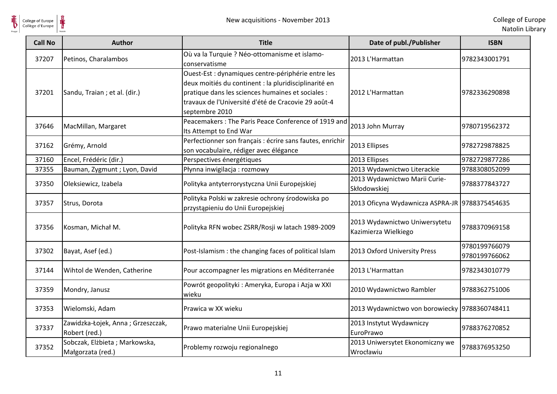

| <b>Call No</b> | <b>Author</b>                                      | <b>Title</b>                                                                                                                                                                                                                              | Date of publ./Publisher                               | <b>ISBN</b>                    |
|----------------|----------------------------------------------------|-------------------------------------------------------------------------------------------------------------------------------------------------------------------------------------------------------------------------------------------|-------------------------------------------------------|--------------------------------|
| 37207          | Petinos, Charalambos                               | Où va la Turquie ? Néo-ottomanisme et islamo-<br>conservatisme                                                                                                                                                                            | 2013 L'Harmattan                                      | 9782343001791                  |
| 37201          | Sandu, Traian; et al. (dir.)                       | Ouest-Est : dynamiques centre-périphérie entre les<br>deux moitiés du continent : la pluridisciplinarité en<br>pratique dans les sciences humaines et sociales :<br>travaux de l'Université d'été de Cracovie 29 août-4<br>septembre 2010 | 2012 L'Harmattan                                      | 9782336290898                  |
| 37646          | MacMillan, Margaret                                | Peacemakers: The Paris Peace Conference of 1919 and<br>Its Attempt to End War                                                                                                                                                             | 2013 John Murray                                      | 9780719562372                  |
| 37162          | Grémy, Arnold                                      | Perfectionner son français : écrire sans fautes, enrichir<br>son vocabulaire, rédiger avec élégance                                                                                                                                       | 2013 Ellipses                                         | 9782729878825                  |
| 37160          | Encel, Frédéric (dir.)                             | Perspectives énergétiques                                                                                                                                                                                                                 | 2013 Ellipses                                         | 9782729877286                  |
| 37355          | Bauman, Zygmunt ; Lyon, David                      | Płynna inwigilacja: rozmowy                                                                                                                                                                                                               | 2013 Wydawnictwo Literackie                           | 9788308052099                  |
| 37350          | Oleksiewicz, Izabela                               | Polityka antyterrorystyczna Unii Europejskiej                                                                                                                                                                                             | 2013 Wydawnictwo Marii Curie-<br>Skłodowskiej         | 9788377843727                  |
| 37357          | Strus, Dorota                                      | Polityka Polski w zakresie ochrony środowiska po<br>przystąpieniu do Unii Europejskiej                                                                                                                                                    | 2013 Oficyna Wydawnicza ASPRA-JR 9788375454635        |                                |
| 37356          | Kosman, Michał M.                                  | Polityka RFN wobec ZSRR/Rosji w latach 1989-2009                                                                                                                                                                                          | 2013 Wydawnictwo Uniwersytetu<br>Kazimierza Wielkiego | 9788370969158                  |
| 37302          | Bayat, Asef (ed.)                                  | Post-Islamism : the changing faces of political Islam                                                                                                                                                                                     | 2013 Oxford University Press                          | 9780199766079<br>9780199766062 |
| 37144          | Wihtol de Wenden, Catherine                        | Pour accompagner les migrations en Méditerranée                                                                                                                                                                                           | 2013 L'Harmattan                                      | 9782343010779                  |
| 37359          | Mondry, Janusz                                     | Powrót geopolityki : Ameryka, Europa i Azja w XXI<br>wieku                                                                                                                                                                                | 2010 Wydawnictwo Rambler                              | 9788362751006                  |
| 37353          | Wielomski, Adam                                    | Prawica w XX wieku                                                                                                                                                                                                                        | 2013 Wydawnictwo von borowiecky 9788360748411         |                                |
| 37337          | Zawidzka-Łojek, Anna; Grzeszczak,<br>Robert (red.) | Prawo materialne Unii Europejskiej                                                                                                                                                                                                        | 2013 Instytut Wydawniczy<br>EuroPrawo                 | 9788376270852                  |
| 37352          | Sobczak, Elżbieta; Markowska,<br>Małgorzata (red.) | Problemy rozwoju regionalnego                                                                                                                                                                                                             | 2013 Uniwersytet Ekonomiczny we<br>Wrocławiu          | 9788376953250                  |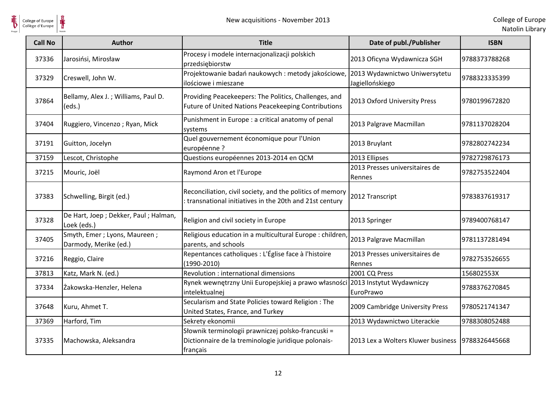

| <b>Call No</b> | <b>Author</b>                                           | <b>Title</b>                                                                                                          | Date of publ./Publisher                  | <b>ISBN</b>   |
|----------------|---------------------------------------------------------|-----------------------------------------------------------------------------------------------------------------------|------------------------------------------|---------------|
| 37336          | Jarosińsi, Mirosław                                     | Procesy i modele internacjonalizacji polskich<br>przedsiębiorstw                                                      | 2013 Oficyna Wydawnicza SGH              | 9788373788268 |
| 37329          | Creswell, John W.                                       | Projektowanie badań naukowych: metody jakościowe, 2013 Wydawnictwo Uniwersytetu<br>ilościowe i mieszane               | Jagiellońskiego                          | 9788323335399 |
| 37864          | Bellamy, Alex J.; Williams, Paul D.<br>(eds.)           | Providing Peacekeepers: The Politics, Challenges, and<br>Future of United Nations Peacekeeping Contributions          | 2013 Oxford University Press             | 9780199672820 |
| 37404          | Ruggiero, Vincenzo; Ryan, Mick                          | Punishment in Europe : a critical anatomy of penal<br>systems                                                         | 2013 Palgrave Macmillan                  | 9781137028204 |
| 37191          | Guitton, Jocelyn                                        | Quel gouvernement économique pour l'Union<br>européenne ?                                                             | 2013 Bruylant                            | 9782802742234 |
| 37159          | Lescot, Christophe                                      | Questions européennes 2013-2014 en QCM                                                                                | 2013 Ellipses                            | 9782729876173 |
| 37215          | Mouric, Joël                                            | Raymond Aron et l'Europe                                                                                              | 2013 Presses universitaires de<br>Rennes | 9782753522404 |
| 37383          | Schwelling, Birgit (ed.)                                | Reconciliation, civil society, and the politics of memory<br>transnational initiatives in the 20th and 21st century   | 2012 Transcript                          | 9783837619317 |
| 37328          | De Hart, Joep ; Dekker, Paul ; Halman,<br>Loek (eds.)   | Religion and civil society in Europe                                                                                  | 2013 Springer                            | 9789400768147 |
| 37405          | Smyth, Emer ; Lyons, Maureen ;<br>Darmody, Merike (ed.) | Religious education in a multicultural Europe : children<br>parents, and schools                                      | 2013 Palgrave Macmillan                  | 9781137281494 |
| 37216          | Reggio, Claire                                          | Repentances catholiques : L'Église face à l'histoire<br>$(1990 - 2010)$                                               | 2013 Presses universitaires de<br>Rennes | 9782753526655 |
| 37813          | Katz, Mark N. (ed.)                                     | Revolution : international dimensions                                                                                 | 2001 CQ Press                            | 156802553X    |
| 37334          | Żakowska-Henzler, Helena                                | Rynek wewnętrzny Unii Europejskiej a prawo własności 2013 Instytut Wydawniczy<br>intelektualnej                       | EuroPrawo                                | 9788376270845 |
| 37648          | Kuru, Ahmet T.                                          | Secularism and State Policies toward Religion: The<br>United States, France, and Turkey                               | 2009 Cambridge University Press          | 9780521741347 |
| 37369          | Harford, Tim                                            | Sekrety ekonomii                                                                                                      | 2013 Wydawnictwo Literackie              | 9788308052488 |
| 37335          | Machowska, Aleksandra                                   | Słownik terminologii prawniczej polsko-francuski =<br>Dictionnaire de la treminologie juridique polonais-<br>français | 2013 Lex a Wolters Kluwer business       | 9788326445668 |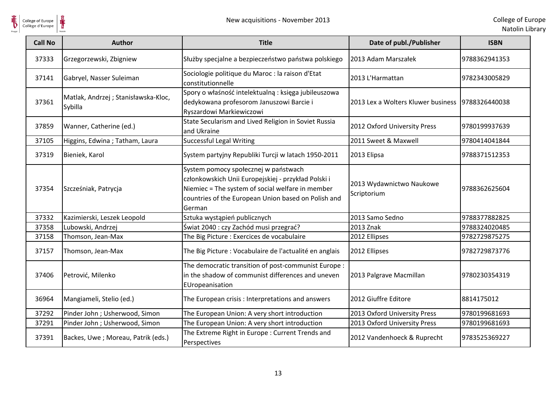

| <b>Call No</b> | Author                                         | <b>Title</b>                                                                                                                                                                                                     | Date of publ./Publisher                 | <b>ISBN</b>   |
|----------------|------------------------------------------------|------------------------------------------------------------------------------------------------------------------------------------------------------------------------------------------------------------------|-----------------------------------------|---------------|
| 37333          | Grzegorzewski, Zbigniew                        | Służby specjalne a bezpieczeństwo państwa polskiego                                                                                                                                                              | 2013 Adam Marszałek                     | 9788362941353 |
| 37141          | Gabryel, Nasser Suleiman                       | Sociologie politique du Maroc : la raison d'Etat<br>constitutionnelle                                                                                                                                            | 2013 L'Harmattan                        | 9782343005829 |
| 37361          | Matlak, Andrzej; Stanisławska-Kloc,<br>Sybilla | Spory o właśność intelektualną: księga jubileuszowa<br>dedykowana profesorom Januszowi Barcie i<br>Ryszardowi Markiewiczowi                                                                                      | 2013 Lex a Wolters Kluwer business      | 9788326440038 |
| 37859          | Wanner, Catherine (ed.)                        | State Secularism and Lived Religion in Soviet Russia<br>and Ukraine                                                                                                                                              | 2012 Oxford University Press            | 9780199937639 |
| 37105          | Higgins, Edwina; Tatham, Laura                 | <b>Successful Legal Writing</b>                                                                                                                                                                                  | 2011 Sweet & Maxwell                    | 9780414041844 |
| 37319          | Bieniek, Karol                                 | System partyjny Republiki Turcji w latach 1950-2011                                                                                                                                                              | 2013 Elipsa                             | 9788371512353 |
| 37354          | Szcześniak, Patrycja                           | System pomocy społecznej w państwach<br>członkowskich Unii Europejskiej - przykład Polski i<br>Niemiec = The system of social welfare in member<br>countries of the European Union based on Polish and<br>German | 2013 Wydawnictwo Naukowe<br>Scriptorium | 9788362625604 |
| 37332          | Kazimierski, Leszek Leopold                    | Sztuka wystąpień publicznych                                                                                                                                                                                     | 2013 Samo Sedno                         | 9788377882825 |
| 37358          | Lubowski, Andrzej                              | Świat 2040 : czy Zachód musi przegrać?                                                                                                                                                                           | 2013 Znak                               | 9788324020485 |
| 37158          | Thomson, Jean-Max                              | The Big Picture : Exercices de vocabulaire                                                                                                                                                                       | 2012 Ellipses                           | 9782729875275 |
| 37157          | Thomson, Jean-Max                              | The Big Picture : Vocabulaire de l'actualité en anglais                                                                                                                                                          | 2012 Ellipses                           | 9782729873776 |
| 37406          | Petrović, Milenko                              | The democratic transition of post-communist Europe :<br>in the shadow of communist differences and uneven<br>EUropeanisation                                                                                     | 2013 Palgrave Macmillan                 | 9780230354319 |
| 36964          | Mangiameli, Stelio (ed.)                       | The European crisis : Interpretations and answers                                                                                                                                                                | 2012 Giuffre Editore                    | 8814175012    |
| 37292          | Pinder John ; Usherwood, Simon                 | The European Union: A very short introduction                                                                                                                                                                    | 2013 Oxford University Press            | 9780199681693 |
| 37291          | Pinder John ; Usherwood, Simon                 | The European Union: A very short introduction                                                                                                                                                                    | 2013 Oxford University Press            | 9780199681693 |
| 37391          | Backes, Uwe; Moreau, Patrik (eds.)             | The Extreme Right in Europe : Current Trends and<br>Perspectives                                                                                                                                                 | 2012 Vandenhoeck & Ruprecht             | 9783525369227 |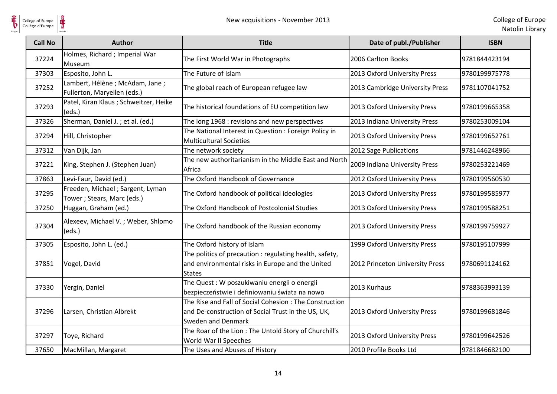

| <b>Call No</b> | <b>Author</b>                                                   | <b>Title</b>                                                                                                                        | Date of publ./Publisher         | <b>ISBN</b>   |
|----------------|-----------------------------------------------------------------|-------------------------------------------------------------------------------------------------------------------------------------|---------------------------------|---------------|
| 37224          | Holmes, Richard ; Imperial War<br>Museum                        | The First World War in Photographs                                                                                                  | 2006 Carlton Books              | 9781844423194 |
| 37303          | Esposito, John L.                                               | The Future of Islam                                                                                                                 | 2013 Oxford University Press    | 9780199975778 |
| 37252          | Lambert, Hélène ; McAdam, Jane ;<br>Fullerton, Maryellen (eds.) | The global reach of European refugee law                                                                                            | 2013 Cambridge University Press | 9781107041752 |
| 37293          | Patel, Kiran Klaus ; Schweitzer, Heike<br>(eds.)                | The historical foundations of EU competition law                                                                                    | 2013 Oxford University Press    | 9780199665358 |
| 37326          | Sherman, Daniel J.; et al. (ed.)                                | The long 1968 : revisions and new perspectives                                                                                      | 2013 Indiana University Press   | 9780253009104 |
| 37294          | Hill, Christopher                                               | The National Interest in Question : Foreign Policy in<br><b>Multicultural Societies</b>                                             | 2013 Oxford University Press    | 9780199652761 |
| 37312          | Van Dijk, Jan                                                   | The network society                                                                                                                 | 2012 Sage Publications          | 9781446248966 |
| 37221          | King, Stephen J. (Stephen Juan)                                 | The new authoritarianism in the Middle East and North<br>Africa                                                                     | 2009 Indiana University Press   | 9780253221469 |
| 37863          | Levi-Faur, David (ed.)                                          | The Oxford Handbook of Governance                                                                                                   | 2012 Oxford University Press    | 9780199560530 |
| 37295          | Freeden, Michael; Sargent, Lyman<br>Tower ; Stears, Marc (eds.) | The Oxford handbook of political ideologies                                                                                         | 2013 Oxford University Press    | 9780199585977 |
| 37250          | Huggan, Graham (ed.)                                            | The Oxford Handbook of Postcolonial Studies                                                                                         | 2013 Oxford University Press    | 9780199588251 |
| 37304          | Alexeev, Michael V.; Weber, Shlomo<br>(eds.)                    | The Oxford handbook of the Russian economy                                                                                          | 2013 Oxford University Press    | 9780199759927 |
| 37305          | Esposito, John L. (ed.)                                         | The Oxford history of Islam                                                                                                         | 1999 Oxford University Press    | 9780195107999 |
| 37851          | Vogel, David                                                    | The politics of precaution : regulating health, safety,<br>and environmental risks in Europe and the United<br><b>States</b>        | 2012 Princeton University Press | 9780691124162 |
| 37330          | Yergin, Daniel                                                  | The Quest : W poszukiwaniu energii o energii<br>bezpieczeństwie i definiowaniu świata na nowo                                       | 2013 Kurhaus                    | 9788363993139 |
| 37296          | Larsen, Christian Albrekt                                       | The Rise and Fall of Social Cohesion : The Construction<br>and De-construction of Social Trust in the US, UK,<br>Sweden and Denmark | 2013 Oxford University Press    | 9780199681846 |
| 37297          | Toye, Richard                                                   | The Roar of the Lion: The Untold Story of Churchill's<br>World War II Speeches                                                      | 2013 Oxford University Press    | 9780199642526 |
| 37650          | MacMillan, Margaret                                             | The Uses and Abuses of History                                                                                                      | 2010 Profile Books Ltd          | 9781846682100 |